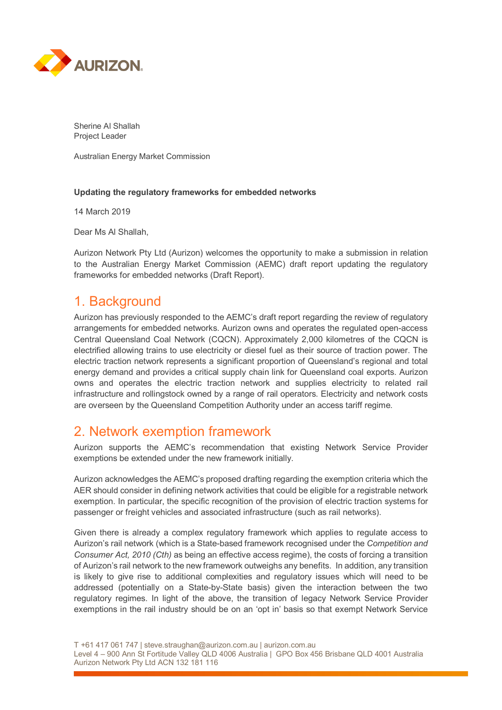

Sherine Al Shallah Project Leader

Australian Energy Market Commission

#### **Updating the regulatory frameworks for embedded networks**

14 March 2019

Dear Ms Al Shallah,

Aurizon Network Pty Ltd (Aurizon) welcomes the opportunity to make a submission in relation to the Australian Energy Market Commission (AEMC) draft report updating the regulatory frameworks for embedded networks (Draft Report).

## 1. Background

Aurizon has previously responded to the AEMC's draft report regarding the review of regulatory arrangements for embedded networks. Aurizon owns and operates the regulated open-access Central Queensland Coal Network (CQCN). Approximately 2,000 kilometres of the CQCN is electrified allowing trains to use electricity or diesel fuel as their source of traction power. The electric traction network represents a significant proportion of Queensland's regional and total energy demand and provides a critical supply chain link for Queensland coal exports. Aurizon owns and operates the electric traction network and supplies electricity to related rail infrastructure and rollingstock owned by a range of rail operators. Electricity and network costs are overseen by the Queensland Competition Authority under an access tariff regime.

### 2. Network exemption framework

Aurizon supports the AEMC's recommendation that existing Network Service Provider exemptions be extended under the new framework initially.

Aurizon acknowledges the AEMC's proposed drafting regarding the exemption criteria which the AER should consider in defining network activities that could be eligible for a registrable network exemption. In particular, the specific recognition of the provision of electric traction systems for passenger or freight vehicles and associated infrastructure (such as rail networks).

Given there is already a complex regulatory framework which applies to regulate access to Aurizon's rail network (which is a State-based framework recognised under the *Competition and Consumer Act, 2010 (Cth)* as being an effective access regime), the costs of forcing a transition of Aurizon's rail network to the new framework outweighs any benefits. In addition, any transition is likely to give rise to additional complexities and regulatory issues which will need to be addressed (potentially on a State-by-State basis) given the interaction between the two regulatory regimes. In light of the above, the transition of legacy Network Service Provider exemptions in the rail industry should be on an 'opt in' basis so that exempt Network Service

T +61 417 061 747 | steve.straughan@aurizon.com.au | aurizon.com.au

Level 4 – 900 Ann St Fortitude Valley QLD 4006 Australia | GPO Box 456 Brisbane QLD 4001 Australia Aurizon Network Pty Ltd ACN 132 181 116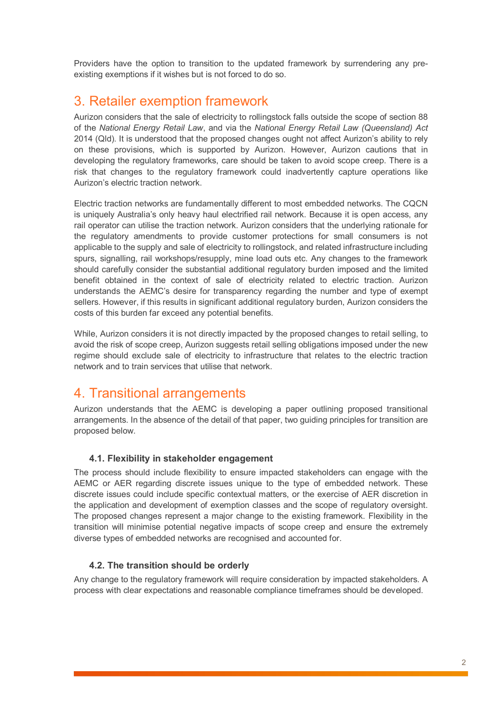Providers have the option to transition to the updated framework by surrendering any preexisting exemptions if it wishes but is not forced to do so.

## 3. Retailer exemption framework

Aurizon considers that the sale of electricity to rollingstock falls outside the scope of section 88 of the *National Energy Retail Law*, and via the *National Energy Retail Law (Queensland) Act* 2014 (Qld). It is understood that the proposed changes ought not affect Aurizon's ability to rely on these provisions, which is supported by Aurizon. However, Aurizon cautions that in developing the regulatory frameworks, care should be taken to avoid scope creep. There is a risk that changes to the regulatory framework could inadvertently capture operations like Aurizon's electric traction network.

Electric traction networks are fundamentally different to most embedded networks. The CQCN is uniquely Australia's only heavy haul electrified rail network. Because it is open access, any rail operator can utilise the traction network. Aurizon considers that the underlying rationale for the regulatory amendments to provide customer protections for small consumers is not applicable to the supply and sale of electricity to rollingstock, and related infrastructure including spurs, signalling, rail workshops/resupply, mine load outs etc. Any changes to the framework should carefully consider the substantial additional regulatory burden imposed and the limited benefit obtained in the context of sale of electricity related to electric traction. Aurizon understands the AEMC's desire for transparency regarding the number and type of exempt sellers. However, if this results in significant additional regulatory burden, Aurizon considers the costs of this burden far exceed any potential benefits.

While, Aurizon considers it is not directly impacted by the proposed changes to retail selling, to avoid the risk of scope creep, Aurizon suggests retail selling obligations imposed under the new regime should exclude sale of electricity to infrastructure that relates to the electric traction network and to train services that utilise that network.

# 4. Transitional arrangements

Aurizon understands that the AEMC is developing a paper outlining proposed transitional arrangements. In the absence of the detail of that paper, two guiding principles for transition are proposed below.

### **4.1. Flexibility in stakeholder engagement**

The process should include flexibility to ensure impacted stakeholders can engage with the AEMC or AER regarding discrete issues unique to the type of embedded network. These discrete issues could include specific contextual matters, or the exercise of AER discretion in the application and development of exemption classes and the scope of regulatory oversight. The proposed changes represent a major change to the existing framework. Flexibility in the transition will minimise potential negative impacts of scope creep and ensure the extremely diverse types of embedded networks are recognised and accounted for.

### **4.2. The transition should be orderly**

Any change to the regulatory framework will require consideration by impacted stakeholders. A process with clear expectations and reasonable compliance timeframes should be developed.